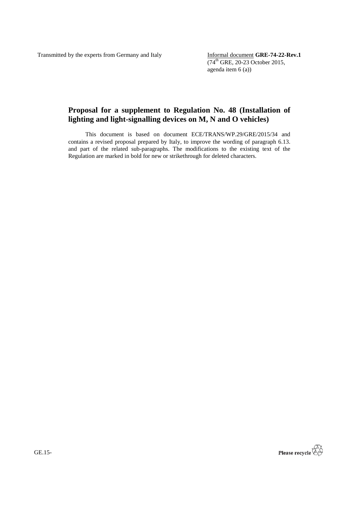Transmitted by the experts from Germany and Italy Informal document **GRE-74-22-Rev.1** 

 $(74^{th}$  GRE, 20-23 October 2015, agenda item 6 (a))

## **Proposal for a supplement to Regulation No. 48 (Installation of lighting and light-signalling devices on M, N and O vehicles)**

This document is based on document ECE/TRANS/WP.29/GRE/2015/34 and contains a revised proposal prepared by Italy, to improve the wording of paragraph 6.13. and part of the related sub-paragraphs. The modifications to the existing text of the Regulation are marked in bold for new or strikethrough for deleted characters.



GE.15-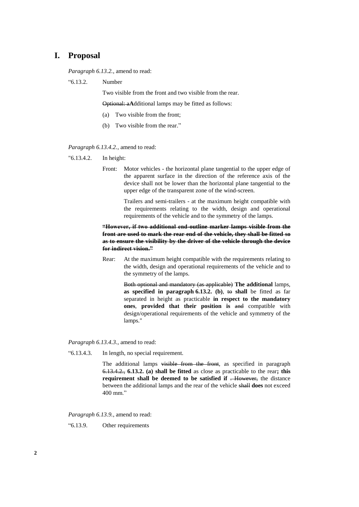## **I. Proposal**

*Paragraph 6.13.2.*, amend to read:

"6.13.2. Number

Two visible from the front and two visible from the rear.

Optional: a**A**dditional lamps may be fitted as follows:

- (a) Two visible from the front;
- (b) Two visible from the rear."

*Paragraph 6.13.4.2.*, amend to read:

- "6.13.4.2. In height:
	- Front: Motor vehicles the horizontal plane tangential to the upper edge of the apparent surface in the direction of the reference axis of the device shall not be lower than the horizontal plane tangential to the upper edge of the transparent zone of the wind-screen.

Trailers and semi-trailers - at the maximum height compatible with the requirements relating to the width, design and operational requirements of the vehicle and to the symmetry of the lamps.

## **"However, if two additional end-outline marker lamps visible from the front are used to mark the rear end of the vehicle, they shall be fitted so as to ensure the visibility by the driver of the vehicle through the device for indirect vision."**

Rear: At the maximum height compatible with the requirements relating to the width, design and operational requirements of the vehicle and to the symmetry of the lamps.

> Both optional and mandatory (as applicable) **The additional** lamps, **as specified in paragraph 6.13.2. (b)**, to **shall** be fitted as far separated in height as practicable **in respect to the mandatory ones**, **provided that their position is** and compatible with design/operational requirements of the vehicle and symmetry of the lamps."

*Paragraph 6.13.4.3.*, amend to read:

"6.13.4.3. In length, no special requirement.

The additional lamps visible from the front, as specified in paragraph 6.13.4.2., **6.13.2. (a) shall be fitted** as close as practicable to the rear**; this requirement shall be deemed to be satisfied if** . However, the distance between the additional lamps and the rear of the vehicle shall **does** not exceed 400 mm."

*Paragraph 6.13.9.*, amend to read:

"6.13.9. Other requirements